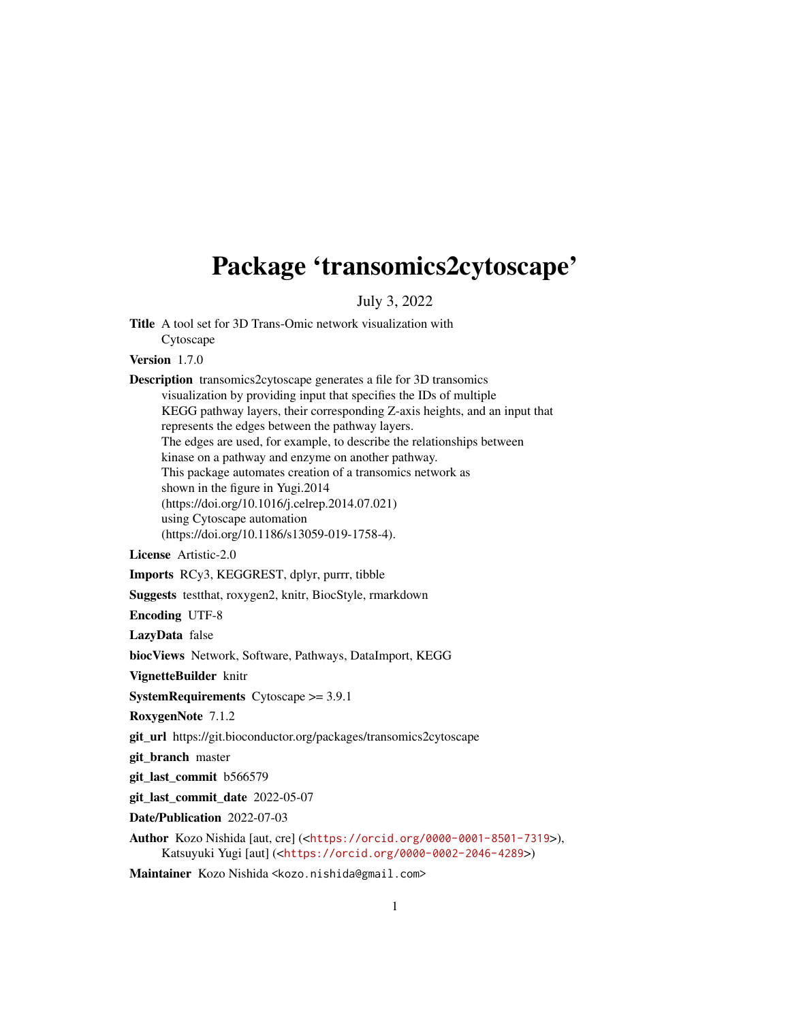## Package 'transomics2cytoscape'

July 3, 2022

Title A tool set for 3D Trans-Omic network visualization with Cytoscape

Version 1.7.0

Description transomics2cytoscape generates a file for 3D transomics visualization by providing input that specifies the IDs of multiple KEGG pathway layers, their corresponding Z-axis heights, and an input that represents the edges between the pathway layers. The edges are used, for example, to describe the relationships between kinase on a pathway and enzyme on another pathway. This package automates creation of a transomics network as shown in the figure in Yugi.2014 (https://doi.org/10.1016/j.celrep.2014.07.021) using Cytoscape automation (https://doi.org/10.1186/s13059-019-1758-4).

License Artistic-2.0

Imports RCy3, KEGGREST, dplyr, purrr, tibble

Suggests testthat, roxygen2, knitr, BiocStyle, rmarkdown

Encoding UTF-8

LazyData false

biocViews Network, Software, Pathways, DataImport, KEGG

VignetteBuilder knitr

SystemRequirements Cytoscape >= 3.9.1

RoxygenNote 7.1.2

git\_url https://git.bioconductor.org/packages/transomics2cytoscape

git\_branch master

git\_last\_commit b566579

git last commit date 2022-05-07

Date/Publication 2022-07-03

Author Kozo Nishida [aut, cre] (<<https://orcid.org/0000-0001-8501-7319>>), Katsuyuki Yugi [aut] (<<https://orcid.org/0000-0002-2046-4289>>)

Maintainer Kozo Nishida <kozo.nishida@gmail.com>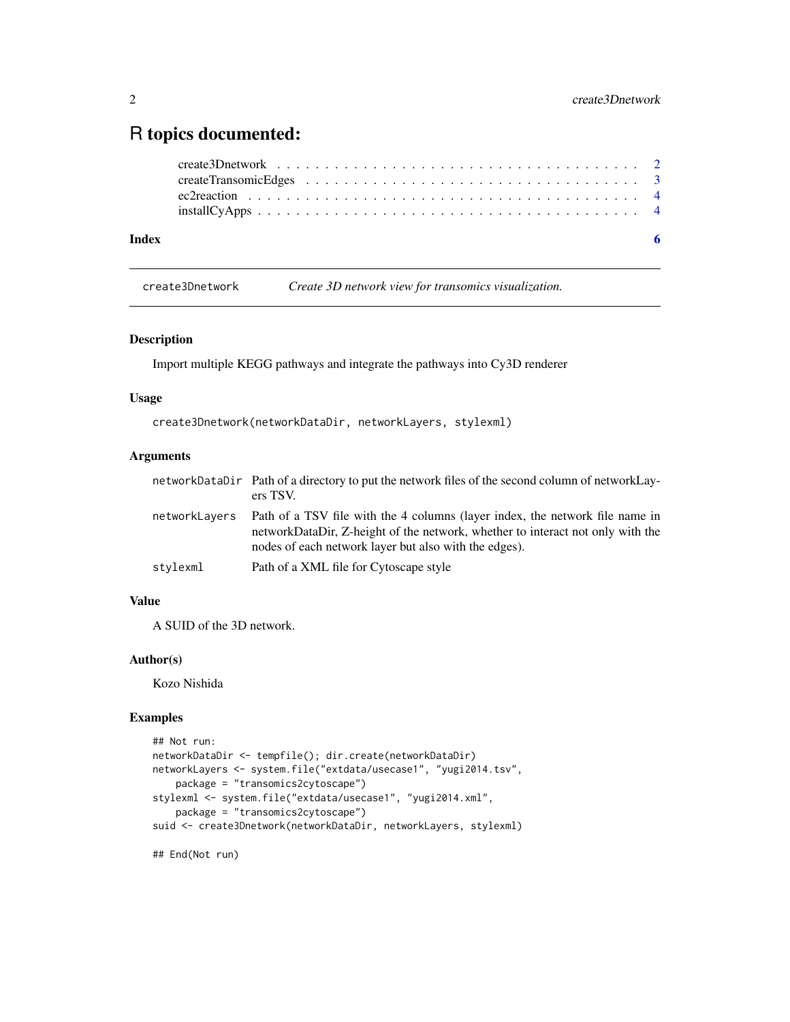### <span id="page-1-0"></span>R topics documented:

| Index |  |  |  |  |  |  |  |  |  |  |  |  |  |  |  |  |  | - 6 |
|-------|--|--|--|--|--|--|--|--|--|--|--|--|--|--|--|--|--|-----|
|       |  |  |  |  |  |  |  |  |  |  |  |  |  |  |  |  |  |     |
|       |  |  |  |  |  |  |  |  |  |  |  |  |  |  |  |  |  |     |
|       |  |  |  |  |  |  |  |  |  |  |  |  |  |  |  |  |  |     |

create3Dnetwork *Create 3D network view for transomics visualization.*

#### Description

Import multiple KEGG pathways and integrate the pathways into Cy3D renderer

#### Usage

```
create3Dnetwork(networkDataDir, networkLayers, stylexml)
```
#### Arguments

|               | networkDataDir Path of a directory to put the network files of the second column of networkLay-<br>ers TSV.                                                                                                             |
|---------------|-------------------------------------------------------------------------------------------------------------------------------------------------------------------------------------------------------------------------|
| networkLayers | Path of a TSV file with the 4 columns (layer index, the network file name in<br>networkDataDir, Z-height of the network, whether to interact not only with the<br>nodes of each network layer but also with the edges). |
| stylexml      | Path of a XML file for Cytoscape style                                                                                                                                                                                  |

#### Value

A SUID of the 3D network.

#### Author(s)

Kozo Nishida

#### Examples

```
## Not run:
networkDataDir <- tempfile(); dir.create(networkDataDir)
networkLayers <- system.file("extdata/usecase1", "yugi2014.tsv",
    package = "transomics2cytoscape")
stylexml <- system.file("extdata/usecase1", "yugi2014.xml",
   package = "transomics2cytoscape")
suid <- create3Dnetwork(networkDataDir, networkLayers, stylexml)
```
## End(Not run)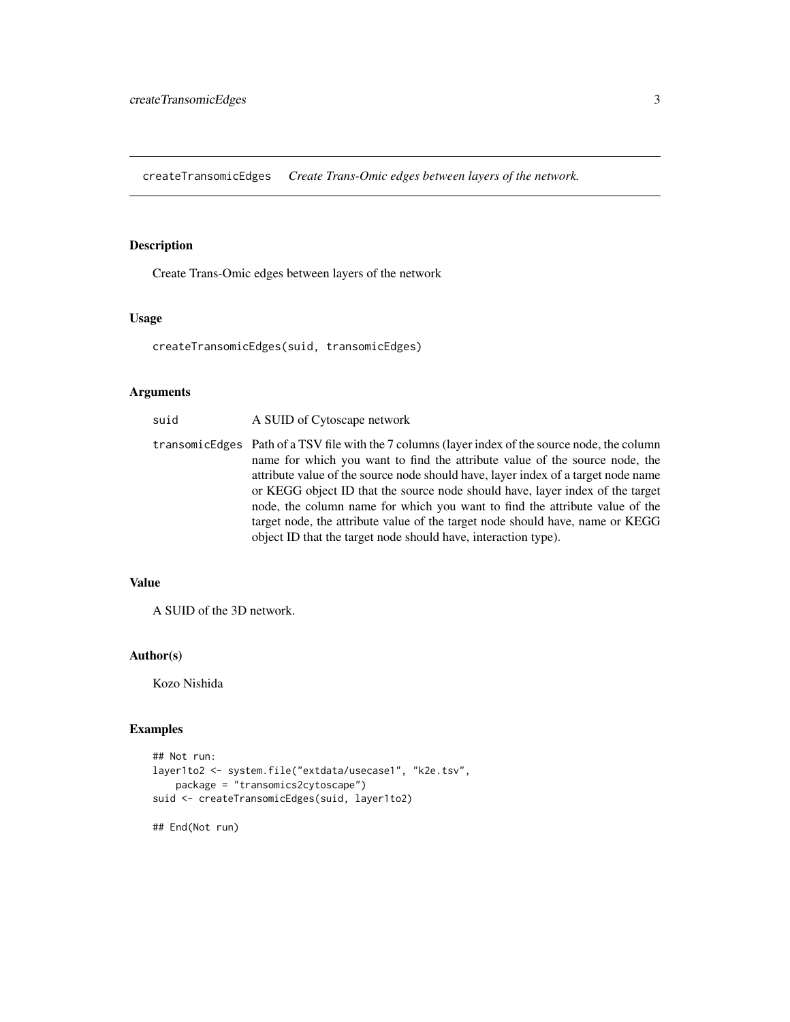<span id="page-2-0"></span>createTransomicEdges *Create Trans-Omic edges between layers of the network.*

#### Description

Create Trans-Omic edges between layers of the network

#### Usage

createTransomicEdges(suid, transomicEdges)

#### Arguments

| suid | A SUID of Cytoscape network                                                                                                                                                                                                                                                                                                                                                                                                                                                                                                                                                             |
|------|-----------------------------------------------------------------------------------------------------------------------------------------------------------------------------------------------------------------------------------------------------------------------------------------------------------------------------------------------------------------------------------------------------------------------------------------------------------------------------------------------------------------------------------------------------------------------------------------|
|      | transomicEdges Path of a TSV file with the 7 columns (layer index of the source node, the column<br>name for which you want to find the attribute value of the source node, the<br>attribute value of the source node should have, layer index of a target node name<br>or KEGG object ID that the source node should have, layer index of the target<br>node, the column name for which you want to find the attribute value of the<br>target node, the attribute value of the target node should have, name or KEGG<br>object ID that the target node should have, interaction type). |

#### Value

A SUID of the 3D network.

#### Author(s)

Kozo Nishida

#### Examples

```
## Not run:
layer1to2 <- system.file("extdata/usecase1", "k2e.tsv",
   package = "transomics2cytoscape")
suid <- createTransomicEdges(suid, layer1to2)
```
## End(Not run)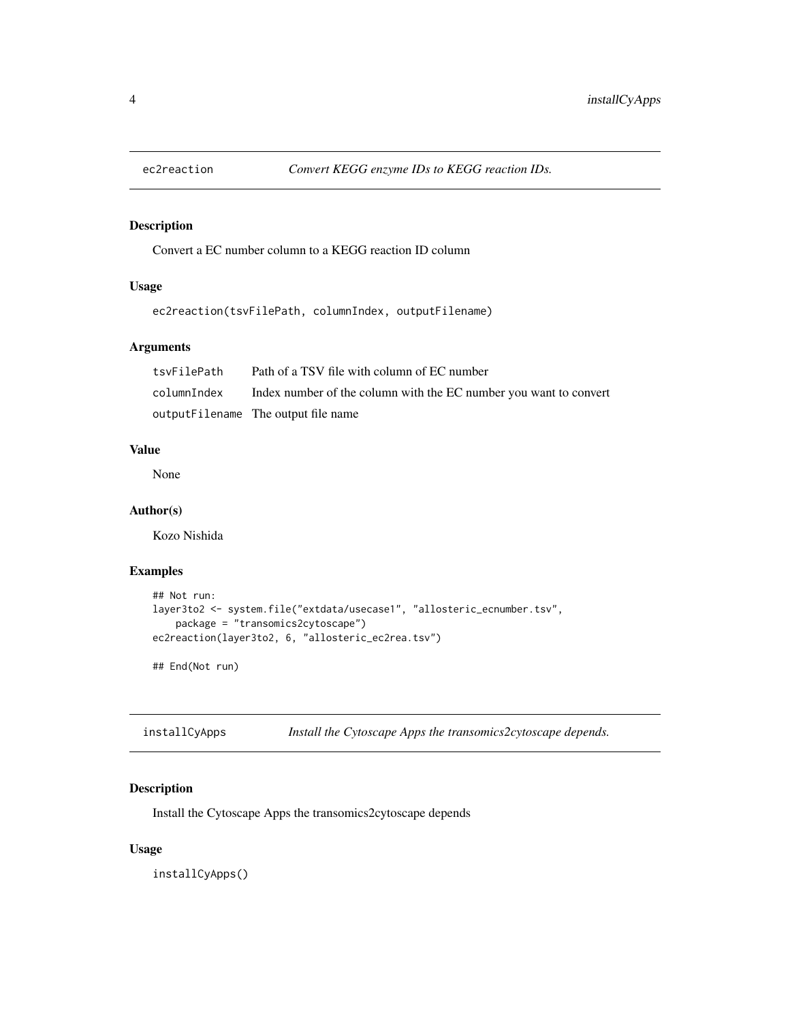<span id="page-3-0"></span>

#### Description

Convert a EC number column to a KEGG reaction ID column

#### Usage

ec2reaction(tsvFilePath, columnIndex, outputFilename)

#### Arguments

| tsvFilePath | Path of a TSV file with column of EC number                       |
|-------------|-------------------------------------------------------------------|
| columnIndex | Index number of the column with the EC number you want to convert |
|             | outputFilename The output file name                               |

#### Value

None

#### Author(s)

Kozo Nishida

#### Examples

```
## Not run:
layer3to2 <- system.file("extdata/usecase1", "allosteric_ecnumber.tsv",
   package = "transomics2cytoscape")
ec2reaction(layer3to2, 6, "allosteric_ec2rea.tsv")
```
## End(Not run)

installCyApps *Install the Cytoscape Apps the transomics2cytoscape depends.*

#### Description

Install the Cytoscape Apps the transomics2cytoscape depends

#### Usage

installCyApps()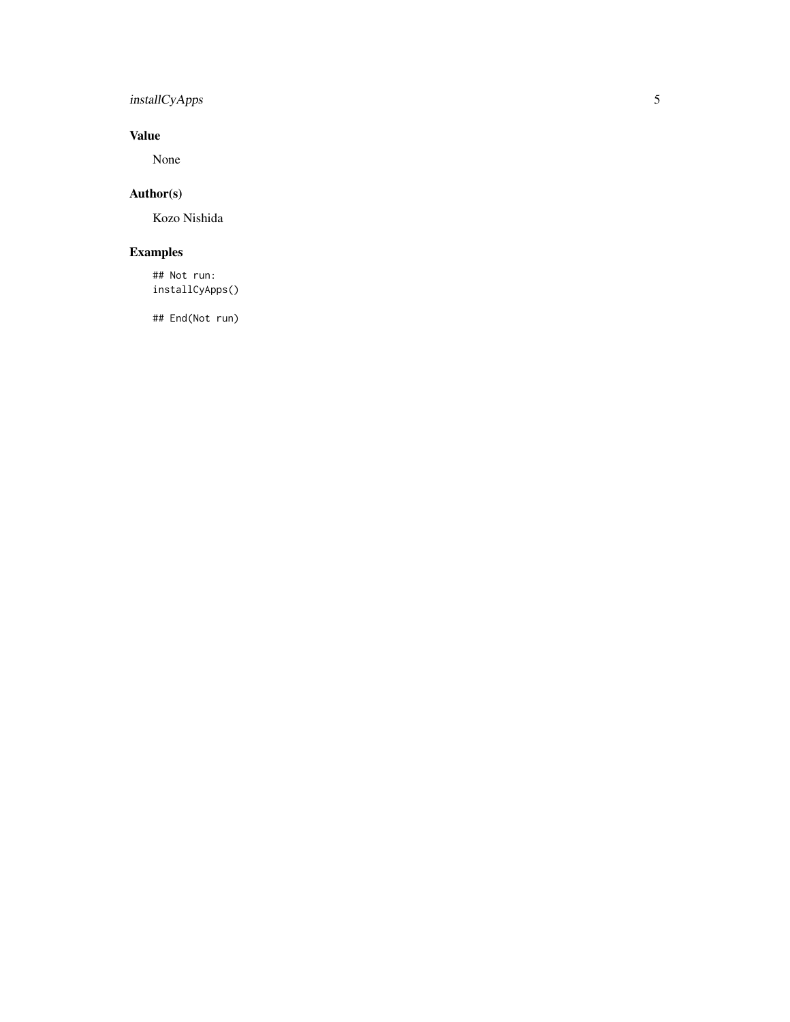#### installCyApps

#### Value

None

#### Author(s)

Kozo Nishida

#### Examples

## Not run: installCyApps()

## End(Not run)